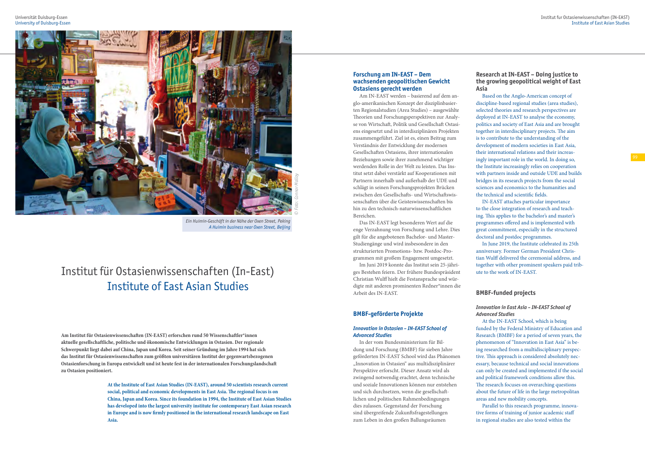## **Forschung am IN-EAST – Dem wachsenden geopolitischen Gewicht Ostasiens gerecht werden**

Am IN-EAST werden – basierend auf dem an glo-amerikanischen Konzept der disziplinbasier ten Regionalstudien (Area Studies) – ausgewählte Theorien und Forschungsperspektiven zur Analy se von Wirtschaft, Politik und Gesellschaft Ostasi ens eingesetzt und in interdisziplinären Projekten zusammengeführt. Ziel ist es, einen Beitrag zum Verständnis der Entwicklung der modernen Gesellschaften Ostasiens, ihrer internationalen Beziehungen sowie ihrer zunehmend wichtiger werdenden Rolle in der Welt zu leisten. Das Ins titut setzt dabei verstärkt auf Kooperationen mit Partnern innerhalb und außerhalb der UDE und schlägt in seinen Forschungsprojekten Brücken zwischen den Gesellschafts- und Wirtschaftswis senschaften über die Geisteswissenschaften bis hin zu den technisch-naturwissenschaftlichen Bereichen.

Das IN-EAST legt besonderen Wert auf die enge Verzahnung von Forschung und Lehre. Dies gilt für die angebotenen Bachelor- und Master-Studiengänge und wird insbesondere in den strukturierten Promotions- bzw. Postdoc-Pro grammen mit großem Engagement umgesetzt.

Im Juni 2019 konnte das Institut sein 25-j ähri ges Bestehen feiern. Der fr ühere Bundespr äsident Christian Wulff hielt die Festansprache und w ü r digte mit anderen prominenten Redner\*innen die Arbeit des IN-EAST.

## **BMBF-geförderte Projekte**

## *Innovation in Ostasien – IN-EAST School of Advanced Studies*

In der vom Bundesministerium für Bil dung und Forschung (BMBF) für sieben Jahre geförderten IN-EAST School wird das Phänomen "Innovation in Ostasien" aus multidisziplinärer Perspektive erforscht. Dieser Ansatz wird als zwingend notwendig erachtet, denn technische und soziale Innovationen können nur entstehen und sich durchsetzen, wenn die gesellschaft lichen und politischen Rahmenbedingungen dies zulassen. Gegenstand der Forschung sind übergreifende Zukunftsfragestellungen zum Leben in den großen Ballungsräumen

## **Research at IN-EAST – Doing justice to the growing geopolitical weight of East**

**Asia**

Based on the Anglo-American concept of discipline-based regional studies (area studies), selected theories and research perspectives are deployed at IN-EAST to analyse the economy, politics and society of East Asia and are brought together in interdisciplinary projects. The aim is to contribute to the understanding of the development of modern societies in East Asia, their international relations and their increas ingly important role in the world. In doing so, the Institute increasingly relies on cooperation with partners inside and outside UDE and builds bridges in its research projects from the social sciences and economics to the humanities and the technical and scientific fields.

IN-EAST attaches particular importance to the close integration of research and teach ing. This applies to the bachelor's and master's programmes offered and is implemented with great commitment, especially in the structured doctoral and postdoc programmes.

In June 2019, the Institute celebrated its 25th anniversary. Former German President Chris tian Wulff delivered the ceremonial address, and together with other prominent speakers paid trib ute to the work of IN-EAST.

## **BMBF-funded projects**

# *Innovation in East Asia – IN-EAST School of*

*Advanced Studies* At the IN-EAST School, which is being funded by the Federal Ministry of Education and Research (BMBF) for a period of seven years, the phenomenon of "Innovation in East Asia" is be ing researched from a multidisciplinary perspec tive. This approach is considered absolutely nec essary, because technical and social innovations can only be created and implemented if the social and political framework conditions allow this. The research focuses on overarching questions about the future of life in the large metropolitan areas and new mobility concepts. Parallel to this research programme, innova tive forms of training of junior academic staff in regional studies are also tested within the

# Institut für Ostasienwissenschaften (In-East) Institute of East Asian Studies

**Am Institut für Ostasienwissenschaften (IN-EAST) erforschen rund 50 Wissenschaftler\*innen aktuelle gesellschaftliche, politische und ökonomische Entwicklungen in Ostasien. Der regionale Schwerpunkt liegt dabei auf China, Japan und Korea. Seit seiner Gründung im Jahre 1994 hat sich das Institut für Ostasienwissenschaften zum größten universitären Institut der gegenwartsbezogenen Ostasienforschung in Europa entwickelt und ist heute fest in der internationalen Forschungslandschaft zu Ostasien positioniert.**



*Ein Huimin-Geschäft in der Nähe der Oxen Street, Peking A Huimin business near Oxen Street, Beijing*

**At the Institute of East Asian Studies (IN-EAST), around 50 scientists research current social, political and economic developments in East Asia. The regional focus is on China, Japan and Korea. Since its foundation in 1994, the Institute of East Asian Studies has developed into the largest university institute for contemporary East Asian research in Europe and is now firmly positioned in the international research landscape on East Asia.**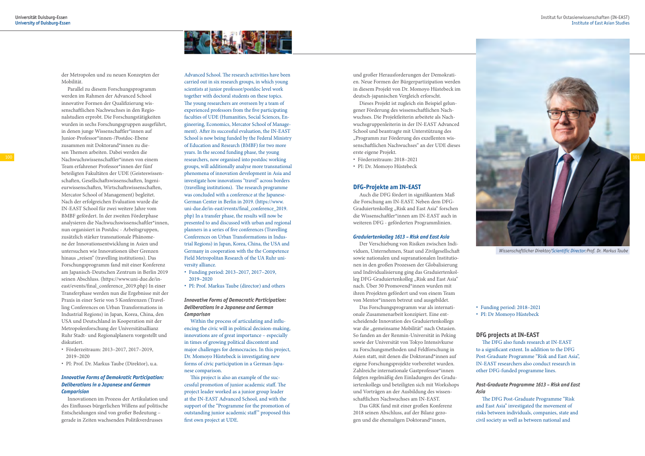

### Institut fur Ostasienwissenschaften (IN-EAST) Institute of East Asian Studies

und großer Herausforderungen der Demokrati en. Neue Formen der B ürgerpartizipation werden in diesem Projekt von Dr. Momoyo H üstebeck im deutsch-japanischen Vergleich erforscht.

Dieses Projekt ist zugleich ein Beispiel gelun gener F örderung des wissenschaftlichen Nach wuchses. Die Projektleiterin arbeitete als Nach wuchsgruppenleiterin in der IN-EAST Advanced School und beantragte mit Unterst ützung des "Programm zur Förderung des exzellenten wissenschaftlichen Nachwuchses" an der UDE dieses erste eigene Projekt.

- Förderzeitraum: 2018–2021
- PI: Dr. Momoyo Hüstebeck

## **DFG-Projekte am IN-EAST**

Auch die DFG fördert in signifikantem Maß die Forschung am IN-EAST. Neben dem DFG-Graduiertenkolleg "Risk and East Asia" forschen die Wissenschaftler\*innen am IN-EAST auch in weiteren DFG - geförderten Programmlinien.

#### *Graduiertenkolleg 1613 – Risk and East Asia*

Der Verschiebung von Risiken zwischen Indi viduen, Unternehmen, Staat und Zivilgesellschaft sowie nationalen und supranationalen Institutio nen in den großen Prozessen der Globalisierung und Individualisierung ging das Graduiertenkol leg DFG-Graduiertenkolleg "Risk and East Asia" nach. Über 30 Promovend\*innen wurden mit ihren Projekten gefördert und von einem Team von Mentor\*inneen betreut und ausgebildet.

Das Forschungsprogramm war als internati onale Zusammenarbeit konzipiert. Eine ent scheidende Innovation des Graduiertenkollegs war die "gemeinsame Mobilität" nach Ostasien. So fanden an der Renmin-Universität in Peking sowie der Universität von Tokyo Intensivkurse zu Forschungsmethoden und Feldforschung in Asien statt, mit denen die Doktorand\*innen auf eigene Forschungsprojekte vorbereitet wurden. Zahlreiche internationale Gastprofessor\*innen folgten regelmäßig den Einladungen des Gradu iertenkollegs und beteiligten sich mit Workshops und Vorträgen an der Ausbildung des wissen schaftlichen Nachwuchses am IN-EAST.

Das GRK fand mit einer großen Konferenz 2018 seinen Abschluss, auf der Bilanz gezo gen und die ehemaligen Doktorand\*innen,

 Funding period: 2018–2021 PI: Dr Momoyo Hüstebeck

## **DFG projects at IN-EAST**

The DFG also funds research at IN-EAST to a significant extent. In addition to the DFG Post-Graduate Programme "Risk and East Asia", IN-EAST researchers also conduct research in other DFG-funded programme lines.

### *Post-Graduate Programme 1613 – Risk and East*

*Asia*

The DFG Post-Graduate Programme "Risk and East Asia" investigated the movement of risks between individuals, companies, state and civil society as well as between national and

Advanced School. The research activities have been carried out in six research groups, in which young scientists at junior professor/postdoc level work together with doctoral students on these topics. The young researchers are overseen by a team of experienced professors from the five participating faculties of UDE (Humanities, Social Sciences, En gineering, Economics, Mercator School of Manage ment). After its successful evaluation, the IN-EAST School is now being funded by the Federal Ministry of Education and Research (BMBF) for two more years. In the second funding phase, the young researchers, now organised into postdoc working groups, will additionally analyse more transnational phenomena of innovation development in Asia and investigate how innovations "travel" across borders (travelling institutions). The research programme was concluded with a conference at the Japanese-German Center in Berlin in 2019. (https://www. uni-due.de/in-east/events/final\_conference\_2019. php) In a transfer phase, the results will now be presented to and discussed with urban and regional planners in a series of five conferences (Travelling Conferences on Urban Transformations in Indus trial Regions) in Japan, Korea, China, the USA and Germany in cooperation with the the Competence Field Metropolitan Research of the UA Ruhr uni versity alliance.



*Wissenschaftlicher Direktor/Scientific Director:Prof. Dr. Markus Taube*

- Funding period: 2013–2017, 2017–2019, 2019–2020
- PI: Prof. Markus Taube (director) and others

## *Innovative Forms of Democratic Participation: Deliberations in a Japanese and German Comparison*

Within the process of articulating and influ encing the civic will in political decision-making, innovations are of great importance – especially in times of growing political discontent and major challenges for democracies. In this project, Dr. Momoyo H üstebeck is investigating new forms of civic participation in a German-Japa nese comparison.

This project is also an example of the suc cessful promotion of junior academic staff. The project leader worked as a junior group leader at the IN-EAST Advanced School, and with the support of the "Programme for the promotion of outstanding junior academic staff" proposed this first own project at UDE.

der Metropolen und zu neuen Konzepten der Mobilität.

Parallel zu diesem Forschungsprogramm werden im Rahmen der Advanced School innovative Formen der Qualifizierung wis senschaftlichen Nachwuchses in den Regio nalstudien erprobt. Die Forschungstätigkeiten wurden in sechs Forschungsgruppen ausgeführt, in denen junge Wissenschaftler\*innen auf Junior-Professor\*innen-/Postdoc-Ebene zusammen mit Doktorand\*innen zu die sen Themen arbeiten. Dabei werden die Team erfahrener Professor\*innen der fünf beteiligten Fakultäten der UDE (Geisteswissen schaften, Gesellschaftswissenschaften, Ingeni eurwissenschaften, Wirtschaftswissenschaften, Mercator School of Management) begleitet. Nach der erfolgreichen Evaluation wurde die IN-EAST School für zwei weitere Jahre vom BMBF gefördert. In der zweiten F örderphase analysieren die Nachwuchswissenschaftler\*innen, nun organisiert in Postdoc - Arbeitsgruppen, zus ätzlich st ärker transnationale Ph änome ne der Innovationsentwicklung in Asien und untersuchen wie Innovationen über Grenzen hinaus "reisen" (travelling institutions). Das Forschungsprogramm fand mit einer Konferenz am Japanisch-Deutschen Zentrum in Berlin 2019 seinen Abschluss. (https://www.uni-due.de/ineast/events/final\_conference\_2019.php) In einer Transferphase werden nun die Ergebnisse mit der Praxis in einer Serie von 5 Konferenzen (Travel ling Conferences on Urban Transformations in Industrial Regions) in Japan, Korea, China, den USA und Deutschland in Kooperation mit der Metropolenforschung der Universit ätsallianz Ruhr Stadt- und Regionalplanern vorgestellt und diskutiert.

- Förderzeitraum: 2013–2017, 2017–2019, 2019–2020
- PI: Prof. Dr. Markus Taube (Direktor), u.a.

## *Innovative Forms of Demokratic Participation: Deliberations in a Japanese and German Comparision*

Innovationen im Prozess der Artikulation und des Einflusses b ürgerlichen Willens auf politische Entscheidungen sind von großer Bedeutung – gerade in Zeiten wachsenden Politikverdrusses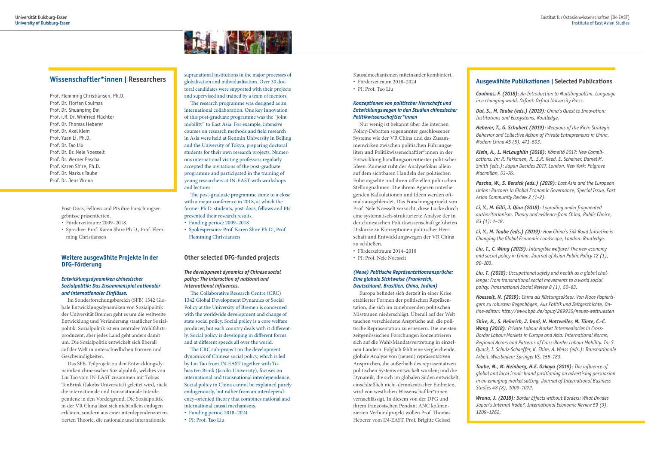

Kausalmechanismen miteinander kombiniert.

- Förderzeitraum 2018–2024
- PI: Prof. Tao Liu

## *Konzeptionen von politischer Herrschaft und Entwicklungswegen in den Studien chinesischer Politikwissenschaftler\*innen*

Nur wenig ist bekannt über die internen Policy-Debatten sogenannter geschlossener Systeme wie der VR China und das Zusam menwirken zwischen politischen F ührungse liten und Politikwissenschaftler\*innen in der Entwicklung handlungsorientierter politischer Ideen. Zumeist ruht der Analysefokus allein auf dem sichtbaren Handeln der politischen Führungselite und ihren offiziellen politischen Stellungnahmen. Die ihrem Agieren unterlie genden Kalkulationen und Ideen werden oft mals ausgeblendet. Das Forschungsprojekt von Prof. Nele Noesselt versucht, diese L ücke durch eine systematisch-strukturierte Analyse der in der chinesischen Politikwissenschaft geführten Diskurse zu Konzeptionen politischer Herr schaft und Entwicklungswegen der VR China zu schließen.

- Förderzeitraum 2014–2018
- PI: Prof. Nele Noesselt

## *(Neue) Politische Repräsentationsansprüche: Eine globale Sichtweise (Frankreich, Deutschland, Brasilien, China, Indien)*

**102 cations.** The Entwicklung handlungsorientierter politischer and the cations. In: R. Pekkanen, R., S.R. Reed, E. Scheiner, Daniel M. *Klein, A., L. McLaughlin (2018): Kōmeitō 2017: New Compli - Smith (eds.): Japan Decides 2017, London, New York: Palgrave Macmillan, 53–76.*

> Europa befindet sich derzeit in einer Krise etablierter Formen der politischen Repr äsen tation, die sich im zunehmenden politischen Misstrauen niederschl ägt. Überall auf der Welt tauchen verschiedene Anspr üche auf, die poli tische Repr äsentation zu erneuern. Die meisten zeitgen össischen Forschungen konzentrieren sich auf die Wahl/Mandatsvertretung in einzel nen L ändern. Folglich fehlt eine vergleichende, globale Analyse von (neuen) repr äsentativen Anspr üchen, die außerhalb des repr äsentativen politischen Systems entwickelt wurden; und die Dynamik, die sich im globalen S üden entwickelt, einschließlich nicht-demokratischer Einheiten, wird von westlichen Wissenschaftler\*innen vernachl ässigt. In diesem von der DFG und ihrem franz ösischen Pendant ANC kofinan zierten Verbundprojekt wollen Prof. Thomas Heberer vom IN-EAST, Prof. Brigitte Geissel

## **Ausgewählte Publikationen | Selected Publications**

*Coulmas, F. (2018): An Introduction to Multilingualism. Language in a changing world. Oxford: Oxford University Press.*

*Dai, S., M. Taube (eds.) (2019): China* '*s Quest to Innovation: Institutions and Ecosystems, Routledge.*

*Heberer, T., G. Schubert (2019): Weapons of the Rich: Strategic Behavior and Collective Action of Private Entrepreneurs in China, Modern China 45 (5), 471–503.*

*Pascha, W., S. Bersick (eds.) (2019): East Asia and the European Union: Partners in Global Economic Governance, Special Issue, East Asian Community Review 2 (1–2).*

*Li, Y., M. Gilli, J. Qian (2018): Logrolling under fragmented authoritarianism. Theory and evidence from China, Public Choice, 83 (1): 1–18.*

*Li, Y., M. Taube (eds.) (2019): How China* '*s Silk Road Initiative is Changing the Global Economic Landscape, London: Routledge.*

*Liu, T., C. Wang (2019): Intangible welfare? The new economy and social policy in China. Journal of Asian Public Policy 12 (1), 90–103.*

*Liu, T. (2018): Occupational safety and health as a global chal lenge: From transnational social movements to a world social policy. Transnational Social Review 8 (1), 50–63.*

*Noesselt, N. (2019): China als Rüstungsakteur. Von Maos Papierti gern zu robusten Regenbögen, Aus Politik und Zeitgeschichte, On line-editon: http://www.bpb.de/apuz/289935/neues-wettruesten*

*Shire, K., S. Heinrich, J. Imai, H. Mottweiler, M. Tünte, C.-C. Wang (2018): Private Labour Market Intermediaries in Cross-Border Labour Markets in Europe and Asia: International Norms, Regional Actors and Patterns of Cross-Border Labour Mobility. In: S. Quack, I. Schulz-Schaeffer, K. Shire, A. Weiss (eds.): Transnationale Arbeit. Wiesbaden: Springer VS, 155–183.*

*Taube, M., M. Heinberg, H.E. Ozkaya (2019): The influence of global and local iconic brand positioning on advertising persuasion in an emerging market setting, Journal of International Business Studies 48 (8), 1009–1022.*

*Wrona, J. (2018): Border Effects without Borders: What Divides Japan* '*s Internal Trade?, International Economic Review 59 (3), 1209–1262.*

Post-Docs, Fellows and PIs ihre Forschungser gebnisse pr äsentierten.

- Förderzeitraum: 2009–2018.
- Sprecher: Prof. Karen Shire Ph.D., Prof. Flem ming Christiansen

## **Weitere ausgew ählte Projekte in der DFG-F örderung**

## *Entwicklungsdynamiken chinesischer Sozialpolitik: Das Zusammenspiel nationaler und internationaler Einflüsse.*

Im Sonderforschungsbereich (SFB) 1342 Glo bale Entwicklungsdynamiken von Sozialpolitik der Universit ät Bremen geht es um die weltweite Entwicklung und Ver änderung staatlicher Sozial politik. Sozialpolitik ist ein zentraler Wohlfahrts produzent, aber jedes Land geht anders damit um. Die Sozialpolitik entwickelt sich überall auf der Welt in unterschiedlichen Formen und Geschwindigkeiten.

Das SFB-Teilprojekt zu den Entwicklungsdy namiken chinesischer Sozialpolitik, welches von Liu Tao vom IN-EAST zusammen mit Tobias TenBrink (Jakobs Universit ät) geleitet wird, r ückt die internationale und transnationale Interde pendenz in den Vordergrund. Die Sozialpolitik in der VR China l ässt sich nicht allein endogen erkl ären, sondern aus einer interdependenzorien tierten Theorie, die nationale und internationale

supranational institutions in the major processes of globalisation and individualisation. Over 30 doc toral candidates were supported with their projects and supervised and trained by a team of mentors.

The research programme was designed as an international collaboration. One key innovation of this post-graduate programme was the "joint mobility" to East Asia. For example, intensive courses on research methods and field research in Asia were held at Renmin University in Beijing and the University of Tokyo, preparing doctoral students for their own research projects. Numer ous international visiting professors regularly accepted the invitations of the post-graduate programme and participated in the training of young researchers at IN-EAST with workshops and lectures.

The post-graduate programme came to a close with a major conference in 2018, at which the former Ph.D. students, post-docs, fellows and PIs presented their research results.

- Funding period: 2009–2018
- Spokespersons: Prof. Karen Shire Ph.D., Prof. Flemming Christiansen

## **Other selected DFG-funded projects**

*The development dynamics of Chinese social policy: The interaction of national and international influences.* 

The Collaborative Research Centre (CRC) 1342 Global Development Dynamics of Social Policy at the University of Bremen is concerned with the worldwide development and change of state social policy. Social policy is a core welfare producer, but each country deals with it different ly. Social policy is developing in different forms and at different speeds all over the world.

The CRC sub-project on the development dynamics of Chinese social policy, which is led by Liu Tao from IN-EAST together with To bias ten Brink (Jacobs University), focuses on international and transnational interdependence. Social policy in China cannot be explained purely endogenously, but rather from an interdepend ency-oriented theory that combines national and international causal mechanisms.

- Funding period 2018–2024
- PI: Prof. Tao Liu

## **Wissenschaftler\*innen | Researchers**

Prof. Flemming Christiansen, Ph.D. Prof. Dr. Florian Coulmas Prof. Dr. Shuanping Dai Prof. i.R. Dr. Winfried Flüchter Prof. Dr. Thomas Heberer Prof. Dr. Axel Klein Prof. Yuan Li, Ph.D. Prof. Dr. Tao Liu Prof. Dr. Dr. Nele Noesselt Prof. Dr. Werner Pascha Prof. Karen Shire, Ph.D. Prof. Dr. Markus Taube Prof. Dr. Jens Wrona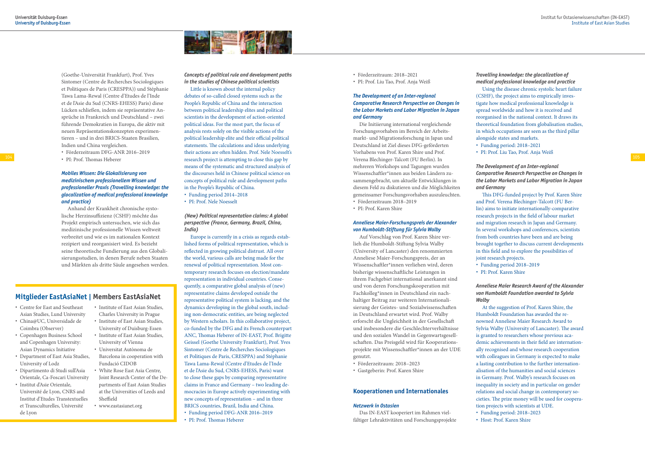

(Goethe-Universit ät Frankfurt), Prof. Yves Sintomer (Centre de Recherches Sociologiques et Politiques de Paris (CRESPPA)) und Stéphanie Tawa Lama-Rewal (Centre d'Etudes de l'Inde et de l'Asie du Sud (CNRS-EHESS) Paris) diese Lücken schließen, indem sie repräsentative An spr üche in Frankreich und Deutschland – zwei führende Demokratien in Europa, die aktiv mit neuen Repr äsentationskonzepten experimen tieren – und in drei BRICS-Staaten Brasilien, Indien und China vergleichen.

- Förderzeitraum DFG-ANR 2016–2019
- PI: Prof. Thomas Heberer

## *Mobiles Wissen: Die Glokalisierung von medizinischem professionellem Wissen und professioneller Praxis (Travelling knowledge: the glocalization of medical professional knowledge and practice)*

Anhand der Krankheit chronische systo lische Herzinsuffizienz (CSHF) m öchte das Projekt empirisch untersuchen, wie sich das medizinische professionelle Wissen weltweit verbreitet und wie es im nationalen Kontext rezipiert und reorganisiert wird. Es bezieht seine theoretische Fundierung aus den Globali sierungsstudien, in denen Berufe neben Staaten und M ärkten als dritte S äule angesehen werden.

- F örderzeitraum: 2018–2021
- PI: Prof. Liu Tao, Prof. Anja Weiß

## *The Development of an Inter-regional Comparative Research Perspective on Changes in the Labor Markets and Labor Migration in Japan and Germany*

Die Initiierung international vergleichende Forschungsvorhaben im Bereich der Arbeits markt- und Migrationsforschung in Japan und Deutschland ist Ziel dieses DFG-geförderten Vorhabens von Prof. Karen Shire und Prof. Verena Blechinger-Talcott (FU Berlin). In mehreren Workshops und Tagungen wurden Wissenschaftler\*innen aus beiden L ändern zu sammengebracht, um aktuelle Entwicklungen in diesem Feld zu diskutieren und die M öglichkeiten gemeinsamer Forschungsvorhaben auszuleuchten.

104 PI: Prof. Thomas Heberer exercit project is attempting to close this gap by Verena Blechinger-Talcott (FU Berlin). In Little is known about the internal policy debates of so-called closed systems such as the People's Republic of China and the interaction between political leadership elites and political scientists in the development of action-oriented political ideas. For the most part, the focus of analysis rests solely on the visible actions of the political leadership elite and their official political statements. The calculations and ideas underlying their actions are often hidden. Prof. Nele Noesselt's means of the systematic and structured analysis of the discourses held in Chinese political science on concepts of political rule and development paths in the People's Republic of China.

- Förderzeitraum 2018–2019
- PI: Prof. Karen Shire

## *Anneliese Maier-Forschungspreis der Alexander von Humboldt-Stiftung für Sylvia Walby*

Auf Vorschlag von Prof. Karen Shire ver lieh die Humboldt-Stiftung Sylvia Walby (University of Lancaster) den renommierten Anneliese Maier-Forschungspreis, der an Wissenschaftler\*innen verliehen wird, deren bisherige wissenschaftliche Leistungen in ihrem Fachgebiet international anerkannt sind und von deren Forschungskooperation mit Fachkolleg\*innen in Deutschland ein nach haltiger Beitrag zur weiteren Internationali sierung der Geistes- und Sozialwissenschaften in Deutschland erwartet wird. Prof. Walby erforscht die Ungleichheit in der Gesellschaft und insbesondere die Geschlechterverh ältnisse und den sozialen Wandel in Gegenwartsgesell schaften. Das Preisgeld wird für Kooperations projekte mit Wissenschaftler\*innen an der UDE genutzt.

- Förderzeitraum: 2018–2023
- Gastgeberin: Prof. Karen Shire

## **Kooperationen und Internationales**

### *Netzwerk in Ostasien*

Das IN-EAST kooperiert im Rahmen viel fältiger Lehraktivitäten und Forschungsprojekte

*Concepts of political rule and development paths in the studies of Chinese political scientists* 

- Funding period 2014–2018
- PI: Prof. Nele Noesselt

*(New) Political representation claims: A global perspective (France, Germany, Brazil, China, India)*

Europe is currently in a crisis as regards estab lished forms of political representation, which is reflected in growing political distrust. All over the world, various calls are being made for the renewal of political representation. Most con temporary research focuses on election/mandate representation in individual countries. Conse quently, a comparative global analysis of (new) representative claims developed outside the representative political system is lacking, and the dynamics developing in the global south, includ ing non-democratic entities, are being neglected by Western scholars. In this collaborative project, co-funded by the DFG and its French counterpart ANC, Thomas Heberer of IN-EAST, Prof. Brigitte Geissel (Goethe University Frankfurt), Prof. Yves Sintomer (Centre de Recherches Sociologiques et Politiques de Paris, CRESPPA) and Stéphanie Tawa Lama-Rewal (Centre d'Etudes de l'Inde et de l'Asie du Sud, CNRS-EHESS, Paris) want to close these gaps by comparing representative claims in France and Germany – two leading de mocracies in Europe actively experimenting with new concepts of representation – and in three BRICS countries, Brazil, India and China. Funding period DFG-ANR 2016–2019

- 
- PI: Prof. Thomas Heberer

*Travelling knowledge: the glocalization of medical professional knowledge and practice* Using the disease chronic systolic heart failure (CSHF), the project aims to empirically inves tigate how medical professional knowledge is spread worldwide and how it is received and reorganised in the national context. It draws its theoretical foundation from globalisation studies, in which occupations are seen as the third pillar alongside states and markets. Funding period: 2018–2021 PI: Prof. Liu Tao, Prof. Anja Weiß

### *The Development of an Inter-regional*

*Comparative Research Perspective on Changes in the Labor Markets and Labor Migration in Japan and Germany* 

This DFG-funded project by Prof. Karen Shire and Prof. Verena Blechinger-Talcott (FU Ber lin) aims to initiate internationally-comparative research projects in the field of labour market and migration research in Japan and Germany. In several workshops and conferences, scientists from both countries have been and are being brought together to discuss current developments in this field and to explore the possibilities of joint research projects. Funding period 2018–2019

PI: Prof. Karen Shire

## *Anneliese Maier Research Award of the Alexander von Humboldt Foundation awarded to Sylvia*

*Walby*

At the suggestion of Prof. Karen Shire, the Humboldt Foundation has awarded the re nowned Anneliese Maier Research Award to Sylvia Walby (University of Lancaster). The award is granted to researchers whose previous aca demic achievements in their field are internation ally recognised and whose research cooperation with colleagues in Germany is expected to make a lasting contribution to the further internation alisation of the humanities and social sciences in Germany. Prof. Walby's research focuses on inequality in society and in particular on gender relations and social change in contemporary so cieties. The prize money will be used for coopera tion projects with scientists at UDE. Funding period: 2018–2023 Host: Prof. Karen Shire

## **Mitglieder EastAsiaNet | Members EastAsiaNet**

- Centre for East and Southeast Asian Studies, Lund University
- China@UC, Universidade de Coimbra (Observer)
- Copenhagen Business School and Copenhagen University: Asian Dynamics Initiative
- Department of East Asia Studies, University of Lodz
- Dipartimento di Studi sull'Asia Orientale, Ca-Foscari University
- Institut d'Asie Orientale, Université de Lyon, CNRS and Institut d'Etudes Transtextuelles et Transculturelles, Université de Lyon
- Institute of East Asian Studies, Charles University in Prague
- **Institute of East Asian Studies,** University of Duisburg-Essen
- **Institute of East Asian Studies,** University of Vienna
- Universitat Autònoma de Barcelona in cooperation with Fundació CIDOB
- White Rose East Asia Centre, Joint Research Center of the De partments of East Asian Studies at the Universities of Leeds and Sheffield
- www.eastasianet.org